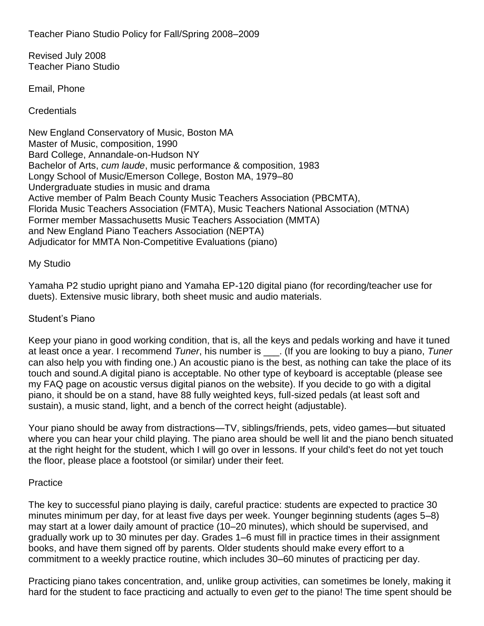Teacher Piano Studio Policy for Fall/Spring 2008–2009

Revised July 2008 Teacher Piano Studio

Email, Phone

**Credentials** 

New England Conservatory of Music, Boston MA Master of Music, composition, 1990 Bard College, Annandale-on-Hudson NY Bachelor of Arts, *cum laude*, music performance & composition, 1983 Longy School of Music/Emerson College, Boston MA, 1979–80 Undergraduate studies in music and drama Active member of Palm Beach County Music Teachers Association (PBCMTA), Florida Music Teachers Association (FMTA), Music Teachers National Association (MTNA) Former member Massachusetts Music Teachers Association (MMTA) and New England Piano Teachers Association (NEPTA) Adjudicator for MMTA Non-Competitive Evaluations (piano)

#### My Studio

Yamaha P2 studio upright piano and Yamaha EP-120 digital piano (for recording/teacher use for duets). Extensive music library, both sheet music and audio materials.

#### Student's Piano

Keep your piano in good working condition, that is, all the keys and pedals working and have it tuned at least once a year. I recommend *Tuner*, his number is \_\_\_. (If you are looking to buy a piano, *Tuner* can also help you with finding one.) An acoustic piano is the best, as nothing can take the place of its touch and sound.A digital piano is acceptable. No other type of keyboard is acceptable (please see my FAQ page on acoustic versus digital pianos on the website). If you decide to go with a digital piano, it should be on a stand, have 88 fully weighted keys, full-sized pedals (at least soft and sustain), a music stand, light, and a bench of the correct height (adjustable).

Your piano should be away from distractions—TV, siblings/friends, pets, video games—but situated where you can hear your child playing. The piano area should be well lit and the piano bench situated at the right height for the student, which I will go over in lessons. If your child's feet do not yet touch the floor, please place a footstool (or similar) under their feet.

#### **Practice**

The key to successful piano playing is daily, careful practice: students are expected to practice 30 minutes minimum per day, for at least five days per week. Younger beginning students (ages 5–8) may start at a lower daily amount of practice (10–20 minutes), which should be supervised, and gradually work up to 30 minutes per day. Grades 1–6 must fill in practice times in their assignment books, and have them signed off by parents. Older students should make every effort to a commitment to a weekly practice routine, which includes 30–60 minutes of practicing per day.

Practicing piano takes concentration, and, unlike group activities, can sometimes be lonely, making it hard for the student to face practicing and actually to even *get* to the piano! The time spent should be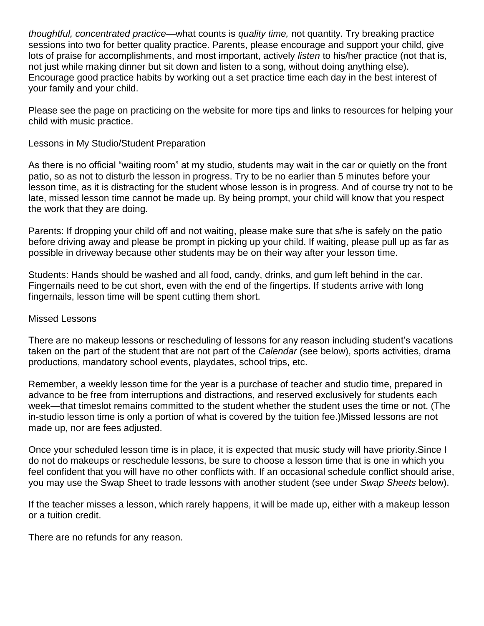*thoughtful, concentrated practice*—what counts is *quality time,* not quantity. Try breaking practice sessions into two for better quality practice. Parents, please encourage and support your child, give lots of praise for accomplishments, and most important, actively *listen* to his/her practice (not that is, not just while making dinner but sit down and listen to a song, without doing anything else). Encourage good practice habits by working out a set practice time each day in the best interest of your family and your child.

Please see the page on practicing on the website for more tips and links to resources for helping your child with music practice.

## Lessons in My Studio/Student Preparation

As there is no official "waiting room" at my studio, students may wait in the car or quietly on the front patio, so as not to disturb the lesson in progress. Try to be no earlier than 5 minutes before your lesson time, as it is distracting for the student whose lesson is in progress. And of course try not to be late, missed lesson time cannot be made up. By being prompt, your child will know that you respect the work that they are doing.

Parents: If dropping your child off and not waiting, please make sure that s/he is safely on the patio before driving away and please be prompt in picking up your child. If waiting, please pull up as far as possible in driveway because other students may be on their way after your lesson time.

Students: Hands should be washed and all food, candy, drinks, and gum left behind in the car. Fingernails need to be cut short, even with the end of the fingertips. If students arrive with long fingernails, lesson time will be spent cutting them short.

### Missed Lessons

There are no makeup lessons or rescheduling of lessons for any reason including student's vacations taken on the part of the student that are not part of the *Calendar* (see below), sports activities, drama productions, mandatory school events, playdates, school trips, etc.

Remember, a weekly lesson time for the year is a purchase of teacher and studio time, prepared in advance to be free from interruptions and distractions, and reserved exclusively for students each week—that timeslot remains committed to the student whether the student uses the time or not. (The in-studio lesson time is only a portion of what is covered by the tuition fee.)Missed lessons are not made up, nor are fees adjusted.

Once your scheduled lesson time is in place, it is expected that music study will have priority.Since I do not do makeups or reschedule lessons, be sure to choose a lesson time that is one in which you feel confident that you will have no other conflicts with. If an occasional schedule conflict should arise, you may use the Swap Sheet to trade lessons with another student (see under *Swap Sheets* below).

If the teacher misses a lesson, which rarely happens, it will be made up, either with a makeup lesson or a tuition credit.

There are no refunds for any reason.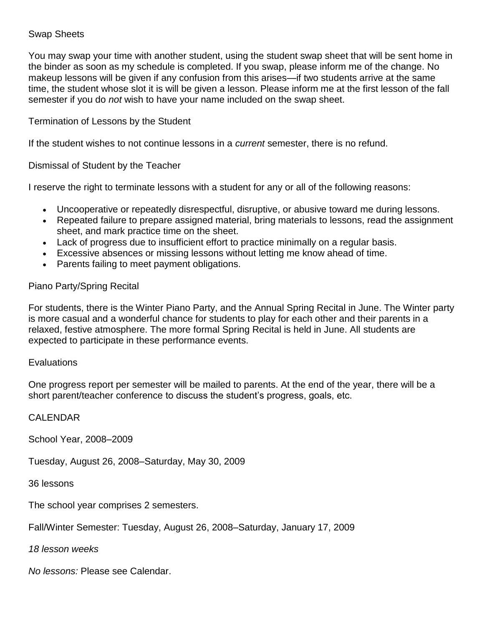## Swap Sheets

You may swap your time with another student, using the student swap sheet that will be sent home in the binder as soon as my schedule is completed. If you swap, please inform me of the change. No makeup lessons will be given if any confusion from this arises—if two students arrive at the same time, the student whose slot it is will be given a lesson. Please inform me at the first lesson of the fall semester if you do *not* wish to have your name included on the swap sheet.

# Termination of Lessons by the Student

If the student wishes to not continue lessons in a *current* semester, there is no refund.

Dismissal of Student by the Teacher

I reserve the right to terminate lessons with a student for any or all of the following reasons:

- Uncooperative or repeatedly disrespectful, disruptive, or abusive toward me during lessons.
- Repeated failure to prepare assigned material, bring materials to lessons, read the assignment sheet, and mark practice time on the sheet.
- Lack of progress due to insufficient effort to practice minimally on a regular basis.
- Excessive absences or missing lessons without letting me know ahead of time.
- Parents failing to meet payment obligations.

# Piano Party/Spring Recital

For students, there is the Winter Piano Party, and the Annual Spring Recital in June. The Winter party is more casual and a wonderful chance for students to play for each other and their parents in a relaxed, festive atmosphere. The more formal Spring Recital is held in June. All students are expected to participate in these performance events.

### **Evaluations**

One progress report per semester will be mailed to parents. At the end of the year, there will be a short parent/teacher conference to discuss the student's progress, goals, etc.

### CALENDAR

School Year, 2008–2009

Tuesday, August 26, 2008–Saturday, May 30, 2009

36 lessons

The school year comprises 2 semesters.

Fall/Winter Semester: Tuesday, August 26, 2008–Saturday, January 17, 2009

*18 lesson weeks*

*No lessons:* Please see Calendar.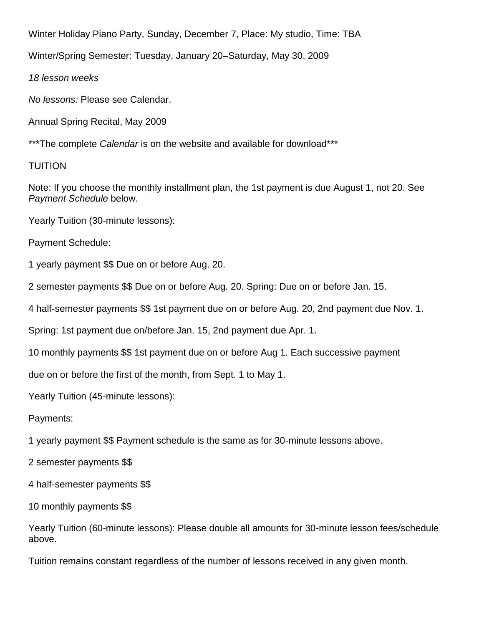Winter Holiday Piano Party, Sunday, December 7, Place: My studio, Time: TBA

Winter/Spring Semester: Tuesday, January 20–Saturday, May 30, 2009

*18 lesson weeks*

*No lessons:* Please see Calendar.

Annual Spring Recital, May 2009

\*\*\*The complete *Calendar* is on the website and available for download\*\*\*

# TUITION

Note: If you choose the monthly installment plan, the 1st payment is due August 1, not 20. See *Payment Schedule* below.

Yearly Tuition (30-minute lessons):

Payment Schedule:

1 yearly payment \$\$ Due on or before Aug. 20.

2 semester payments \$\$ Due on or before Aug. 20. Spring: Due on or before Jan. 15.

4 half-semester payments \$\$ 1st payment due on or before Aug. 20, 2nd payment due Nov. 1.

Spring: 1st payment due on/before Jan. 15, 2nd payment due Apr. 1.

10 monthly payments \$\$ 1st payment due on or before Aug 1. Each successive payment

due on or before the first of the month, from Sept. 1 to May 1.

Yearly Tuition (45-minute lessons):

Payments:

1 yearly payment \$\$ Payment schedule is the same as for 30-minute lessons above.

2 semester payments \$\$

4 half-semester payments \$\$

10 monthly payments \$\$

Yearly Tuition (60-minute lessons): Please double all amounts for 30-minute lesson fees/schedule above.

Tuition remains constant regardless of the number of lessons received in any given month.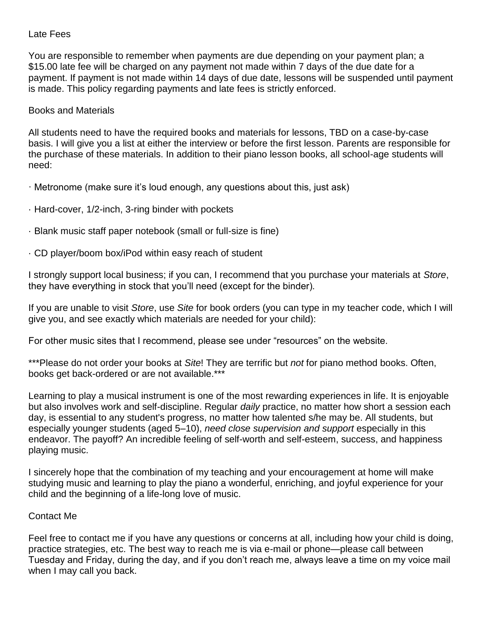### Late Fees

You are responsible to remember when payments are due depending on your payment plan; a \$15.00 late fee will be charged on any payment not made within 7 days of the due date for a payment. If payment is not made within 14 days of due date, lessons will be suspended until payment is made. This policy regarding payments and late fees is strictly enforced.

### Books and Materials

All students need to have the required books and materials for lessons, TBD on a case-by-case basis. I will give you a list at either the interview or before the first lesson. Parents are responsible for the purchase of these materials. In addition to their piano lesson books, all school-age students will need:

- · Metronome (make sure it's loud enough, any questions about this, just ask)
- · Hard-cover, 1/2-inch, 3-ring binder with pockets
- · Blank music staff paper notebook (small or full-size is fine)
- · CD player/boom box/iPod within easy reach of student

I strongly support local business; if you can, I recommend that you purchase your materials at *Store*, they have everything in stock that you'll need (except for the binder).

If you are unable to visit *Store*, use *Site* for book orders (you can type in my teacher code, which I will give you, and see exactly which materials are needed for your child):

For other music sites that I recommend, please see under "resources" on the website.

\*\*\*Please do not order your books at *Site*! They are terrific but *not* for piano method books. Often, books get back-ordered or are not available.\*\*\*

Learning to play a musical instrument is one of the most rewarding experiences in life. It is enjoyable but also involves work and self-discipline. Regular *daily* practice, no matter how short a session each day, is essential to any student's progress, no matter how talented s/he may be. All students, but especially younger students (aged 5–10), *need close supervision and support* especially in this endeavor. The payoff? An incredible feeling of self-worth and self-esteem, success, and happiness playing music.

I sincerely hope that the combination of my teaching and your encouragement at home will make studying music and learning to play the piano a wonderful, enriching, and joyful experience for your child and the beginning of a life-long love of music.

#### Contact Me

Feel free to contact me if you have any questions or concerns at all, including how your child is doing, practice strategies, etc. The best way to reach me is via e-mail or phone—please call between Tuesday and Friday, during the day, and if you don't reach me, always leave a time on my voice mail when I may call you back.